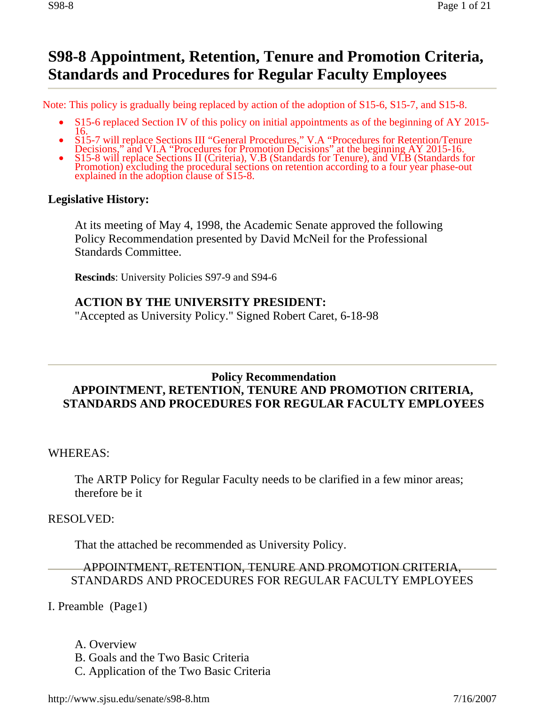# **S98-8 Appointment, Retention, Tenure and Promotion Criteria, Standards and Procedures for Regular Faculty Employees**

Note: This policy is gradually being replaced by action of the adoption of S15-6, S15-7, and S15-8.

- S15-6 replaced Section IV of this policy on initial appointments as of the beginning of AY 2015-<br>
S15-7 will replace Sections III "General Procedures," V.A "Procedures for Retention/Tenure
- 
- Decisions," and VI.A "Procedures for Promotion Decisions" at the beginning AY 2015-16.<br>S15-8 will replace Sections II (Criteria), V.B (Standards for Tenure), and VI.B (Standards for Promotion) excluding the procedural sect

#### **Legislative History:**

At its meeting of May 4, 1998, the Academic Senate approved the following Policy Recommendation presented by David McNeil for the Professional Standards Committee.

**Rescinds**: University Policies S97-9 and S94-6

#### **ACTION BY THE UNIVERSITY PRESIDENT:**

"Accepted as University Policy." Signed Robert Caret, 6-18-98

#### **Policy Recommendation STANDARDS AND PROCEDURES FOR REGULAR FACULTY EMPLOYEES APPOINTMENT, RETENTION, TENURE AND PROMOTION CRITERIA,**

WHEREAS:

The ARTP Policy for Regular Faculty needs to be clarified in a few minor areas; therefore be it

#### RESOLVED:

That the attached be recommended as University Policy.

#### APPOINTMENT, RETENTION, TENURE AND PROMOTION CRITERIA, STANDARDS AND PROCEDURES FOR REGULAR FACULTY EMPLOYEES

I. Preamble (Page1)

- A. Overview
- B. Goals and the Two Basic Criteria
- C. Application of the Two Basic Criteria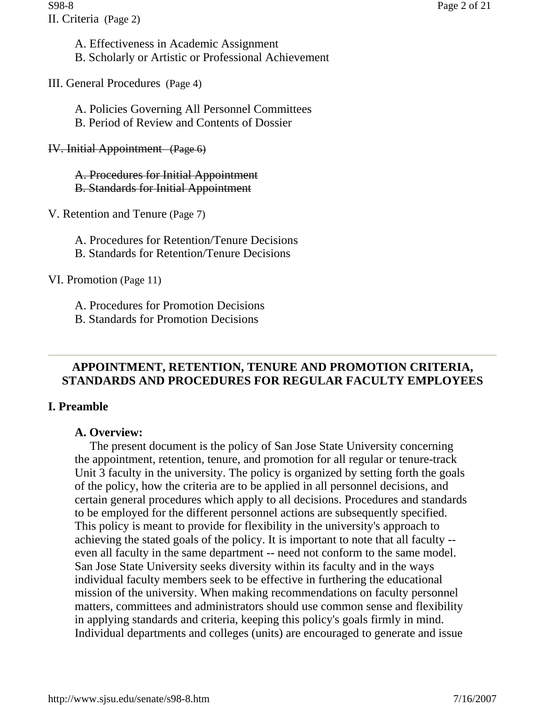A. Effectiveness in Academic Assignment B. Scholarly or Artistic or Professional Achievement

III. General Procedures (Page 4)

A. Policies Governing All Personnel Committees B. Period of Review and Contents of Dossier

IV. Initial Appointment (Page 6)

A. Procedures for Initial Appointment B. Standards for Initial Appointment

V. Retention and Tenure (Page 7)

- A. Procedures for Retention/Tenure Decisions
- B. Standards for Retention/Tenure Decisions

VI. Promotion (Page 11)

A. Procedures for Promotion Decisions

B. Standards for Promotion Decisions

# **APPOINTMENT, RETENTION, TENURE AND PROMOTION CRITERIA, STANDARDS AND PROCEDURES FOR REGULAR FACULTY EMPLOYEES**

# **I. Preamble**

#### **A. Overview:**

The present document is the policy of San Jose State University concerning the appointment, retention, tenure, and promotion for all regular or tenure-track Unit 3 faculty in the university. The policy is organized by setting forth the goals of the policy, how the criteria are to be applied in all personnel decisions, and certain general procedures which apply to all decisions. Procedures and standards to be employed for the different personnel actions are subsequently specified. This policy is meant to provide for flexibility in the university's approach to achieving the stated goals of the policy. It is important to note that all faculty - even all faculty in the same department -- need not conform to the same model. San Jose State University seeks diversity within its faculty and in the ways individual faculty members seek to be effective in furthering the educational mission of the university. When making recommendations on faculty personnel matters, committees and administrators should use common sense and flexibility in applying standards and criteria, keeping this policy's goals firmly in mind. Individual departments and colleges (units) are encouraged to generate and issue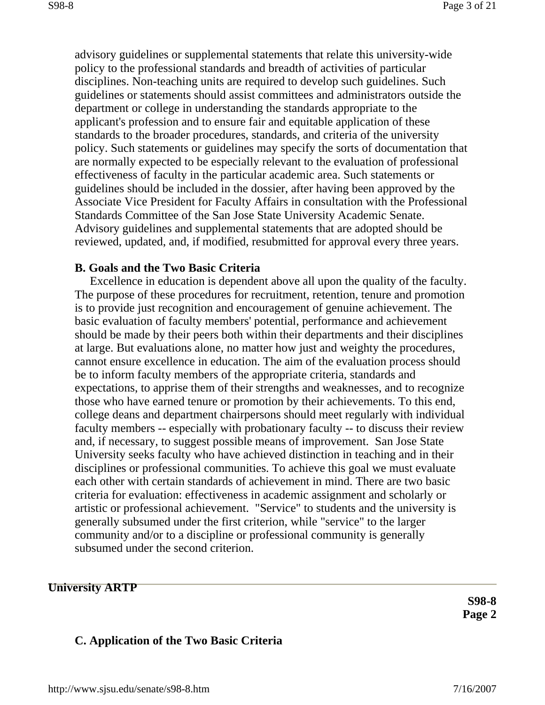advisory guidelines or supplemental statements that relate this university-wide policy to the professional standards and breadth of activities of particular disciplines. Non-teaching units are required to develop such guidelines. Such guidelines or statements should assist committees and administrators outside the department or college in understanding the standards appropriate to the applicant's profession and to ensure fair and equitable application of these standards to the broader procedures, standards, and criteria of the university policy. Such statements or guidelines may specify the sorts of documentation that are normally expected to be especially relevant to the evaluation of professional effectiveness of faculty in the particular academic area. Such statements or guidelines should be included in the dossier, after having been approved by the Associate Vice President for Faculty Affairs in consultation with the Professional Standards Committee of the San Jose State University Academic Senate. Advisory guidelines and supplemental statements that are adopted should be reviewed, updated, and, if modified, resubmitted for approval every three years.

#### **B. Goals and the Two Basic Criteria**

Excellence in education is dependent above all upon the quality of the faculty. The purpose of these procedures for recruitment, retention, tenure and promotion is to provide just recognition and encouragement of genuine achievement. The basic evaluation of faculty members' potential, performance and achievement should be made by their peers both within their departments and their disciplines at large. But evaluations alone, no matter how just and weighty the procedures, cannot ensure excellence in education. The aim of the evaluation process should be to inform faculty members of the appropriate criteria, standards and expectations, to apprise them of their strengths and weaknesses, and to recognize those who have earned tenure or promotion by their achievements. To this end, college deans and department chairpersons should meet regularly with individual faculty members -- especially with probationary faculty -- to discuss their review and, if necessary, to suggest possible means of improvement. San Jose State University seeks faculty who have achieved distinction in teaching and in their disciplines or professional communities. To achieve this goal we must evaluate each other with certain standards of achievement in mind. There are two basic criteria for evaluation: effectiveness in academic assignment and scholarly or artistic or professional achievement. "Service" to students and the university is generally subsumed under the first criterion, while "service" to the larger community and/or to a discipline or professional community is generally subsumed under the second criterion.

#### **University ARTP**

**S98-8 Page 2** 

#### **C. Application of the Two Basic Criteria**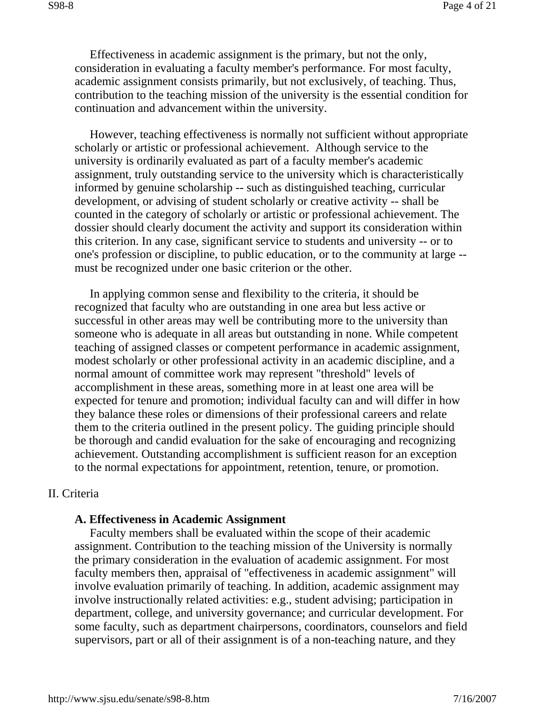Effectiveness in academic assignment is the primary, but not the only, consideration in evaluating a faculty member's performance. For most faculty, academic assignment consists primarily, but not exclusively, of teaching. Thus, contribution to the teaching mission of the university is the essential condition for continuation and advancement within the university.

However, teaching effectiveness is normally not sufficient without appropriate scholarly or artistic or professional achievement. Although service to the university is ordinarily evaluated as part of a faculty member's academic assignment, truly outstanding service to the university which is characteristically informed by genuine scholarship -- such as distinguished teaching, curricular development, or advising of student scholarly or creative activity -- shall be counted in the category of scholarly or artistic or professional achievement. The dossier should clearly document the activity and support its consideration within this criterion. In any case, significant service to students and university -- or to one's profession or discipline, to public education, or to the community at large - must be recognized under one basic criterion or the other.

In applying common sense and flexibility to the criteria, it should be recognized that faculty who are outstanding in one area but less active or successful in other areas may well be contributing more to the university than someone who is adequate in all areas but outstanding in none. While competent teaching of assigned classes or competent performance in academic assignment, modest scholarly or other professional activity in an academic discipline, and a normal amount of committee work may represent "threshold" levels of accomplishment in these areas, something more in at least one area will be expected for tenure and promotion; individual faculty can and will differ in how they balance these roles or dimensions of their professional careers and relate them to the criteria outlined in the present policy. The guiding principle should be thorough and candid evaluation for the sake of encouraging and recognizing achievement. Outstanding accomplishment is sufficient reason for an exception to the normal expectations for appointment, retention, tenure, or promotion.

#### II. Criteria

#### **A. Effectiveness in Academic Assignment**

Faculty members shall be evaluated within the scope of their academic assignment. Contribution to the teaching mission of the University is normally the primary consideration in the evaluation of academic assignment. For most faculty members then, appraisal of "effectiveness in academic assignment" will involve evaluation primarily of teaching. In addition, academic assignment may involve instructionally related activities: e.g., student advising; participation in department, college, and university governance; and curricular development. For some faculty, such as department chairpersons, coordinators, counselors and field supervisors, part or all of their assignment is of a non-teaching nature, and they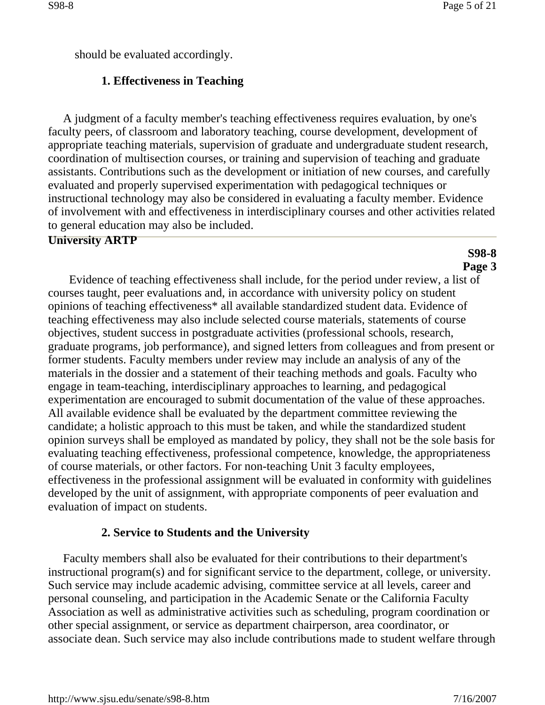should be evaluated accordingly.

### **1. Effectiveness in Teaching**

A judgment of a faculty member's teaching effectiveness requires evaluation, by one's faculty peers, of classroom and laboratory teaching, course development, development of appropriate teaching materials, supervision of graduate and undergraduate student research, coordination of multisection courses, or training and supervision of teaching and graduate assistants. Contributions such as the development or initiation of new courses, and carefully evaluated and properly supervised experimentation with pedagogical techniques or instructional technology may also be considered in evaluating a faculty member. Evidence of involvement with and effectiveness in interdisciplinary courses and other activities related to general education may also be included.

#### **University ARTP**

#### **S98-8 Page 3**

Evidence of teaching effectiveness shall include, for the period under review, a list of courses taught, peer evaluations and, in accordance with university policy on student opinions of teaching effectiveness\* all available standardized student data. Evidence of teaching effectiveness may also include selected course materials, statements of course objectives, student success in postgraduate activities (professional schools, research, graduate programs, job performance), and signed letters from colleagues and from present or former students. Faculty members under review may include an analysis of any of the materials in the dossier and a statement of their teaching methods and goals. Faculty who engage in team-teaching, interdisciplinary approaches to learning, and pedagogical experimentation are encouraged to submit documentation of the value of these approaches. All available evidence shall be evaluated by the department committee reviewing the candidate; a holistic approach to this must be taken, and while the standardized student opinion surveys shall be employed as mandated by policy, they shall not be the sole basis for evaluating teaching effectiveness, professional competence, knowledge, the appropriateness of course materials, or other factors. For non-teaching Unit 3 faculty employees, effectiveness in the professional assignment will be evaluated in conformity with guidelines developed by the unit of assignment, with appropriate components of peer evaluation and evaluation of impact on students.

#### **2. Service to Students and the University**

Faculty members shall also be evaluated for their contributions to their department's instructional program(s) and for significant service to the department, college, or university. Such service may include academic advising, committee service at all levels, career and personal counseling, and participation in the Academic Senate or the California Faculty Association as well as administrative activities such as scheduling, program coordination or other special assignment, or service as department chairperson, area coordinator, or associate dean. Such service may also include contributions made to student welfare through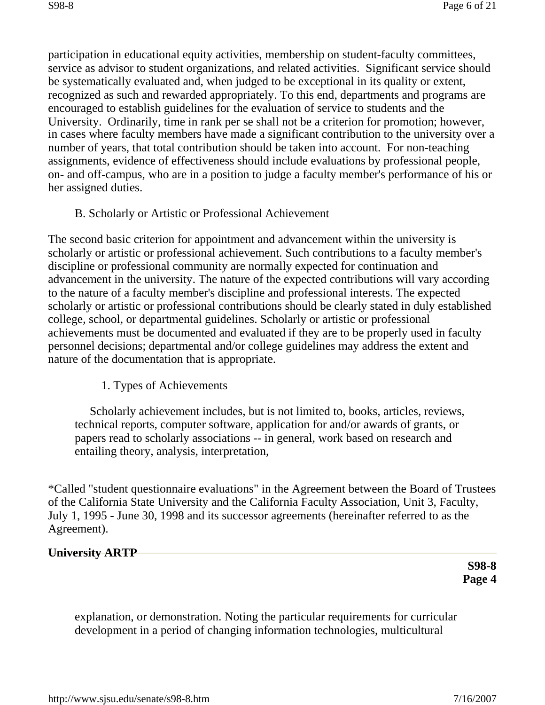participation in educational equity activities, membership on student-faculty committees, service as advisor to student organizations, and related activities. Significant service should be systematically evaluated and, when judged to be exceptional in its quality or extent, recognized as such and rewarded appropriately. To this end, departments and programs are encouraged to establish guidelines for the evaluation of service to students and the University. Ordinarily, time in rank per se shall not be a criterion for promotion; however, in cases where faculty members have made a significant contribution to the university over a number of years, that total contribution should be taken into account. For non-teaching assignments, evidence of effectiveness should include evaluations by professional people, on- and off-campus, who are in a position to judge a faculty member's performance of his or her assigned duties.

### B. Scholarly or Artistic or Professional Achievement

The second basic criterion for appointment and advancement within the university is scholarly or artistic or professional achievement. Such contributions to a faculty member's discipline or professional community are normally expected for continuation and advancement in the university. The nature of the expected contributions will vary according to the nature of a faculty member's discipline and professional interests. The expected scholarly or artistic or professional contributions should be clearly stated in duly established college, school, or departmental guidelines. Scholarly or artistic or professional achievements must be documented and evaluated if they are to be properly used in faculty personnel decisions; departmental and/or college guidelines may address the extent and nature of the documentation that is appropriate.

# 1. Types of Achievements

Scholarly achievement includes, but is not limited to, books, articles, reviews, technical reports, computer software, application for and/or awards of grants, or papers read to scholarly associations -- in general, work based on research and entailing theory, analysis, interpretation,

\*Called "student questionnaire evaluations" in the Agreement between the Board of Trustees of the California State University and the California Faculty Association, Unit 3, Faculty, July 1, 1995 - June 30, 1998 and its successor agreements (hereinafter referred to as the Agreement).

#### **University ARTP**

**S98-8 Page 4** 

explanation, or demonstration. Noting the particular requirements for curricular development in a period of changing information technologies, multicultural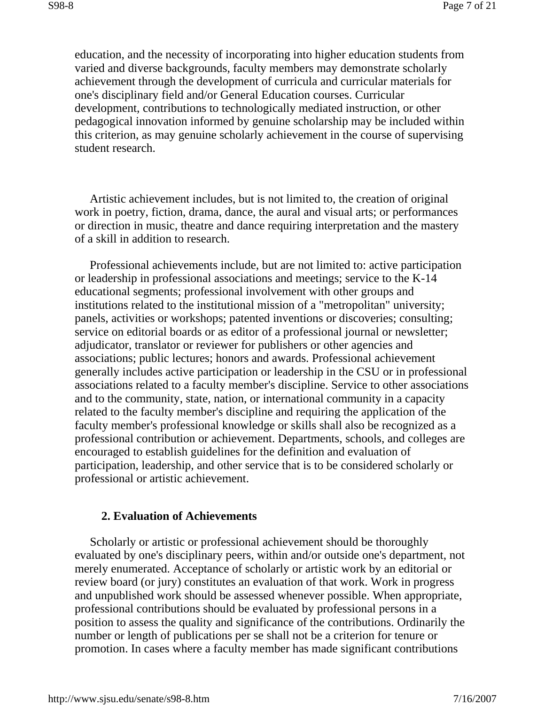education, and the necessity of incorporating into higher education students from varied and diverse backgrounds, faculty members may demonstrate scholarly achievement through the development of curricula and curricular materials for one's disciplinary field and/or General Education courses. Curricular development, contributions to technologically mediated instruction, or other pedagogical innovation informed by genuine scholarship may be included within this criterion, as may genuine scholarly achievement in the course of supervising student research.

Artistic achievement includes, but is not limited to, the creation of original work in poetry, fiction, drama, dance, the aural and visual arts; or performances or direction in music, theatre and dance requiring interpretation and the mastery of a skill in addition to research.

Professional achievements include, but are not limited to: active participation or leadership in professional associations and meetings; service to the K-14 educational segments; professional involvement with other groups and institutions related to the institutional mission of a "metropolitan" university; panels, activities or workshops; patented inventions or discoveries; consulting; service on editorial boards or as editor of a professional journal or newsletter; adjudicator, translator or reviewer for publishers or other agencies and associations; public lectures; honors and awards. Professional achievement generally includes active participation or leadership in the CSU or in professional associations related to a faculty member's discipline. Service to other associations and to the community, state, nation, or international community in a capacity related to the faculty member's discipline and requiring the application of the faculty member's professional knowledge or skills shall also be recognized as a professional contribution or achievement. Departments, schools, and colleges are encouraged to establish guidelines for the definition and evaluation of participation, leadership, and other service that is to be considered scholarly or professional or artistic achievement.

#### **2. Evaluation of Achievements**

Scholarly or artistic or professional achievement should be thoroughly evaluated by one's disciplinary peers, within and/or outside one's department, not merely enumerated. Acceptance of scholarly or artistic work by an editorial or review board (or jury) constitutes an evaluation of that work. Work in progress and unpublished work should be assessed whenever possible. When appropriate, professional contributions should be evaluated by professional persons in a position to assess the quality and significance of the contributions. Ordinarily the number or length of publications per se shall not be a criterion for tenure or promotion. In cases where a faculty member has made significant contributions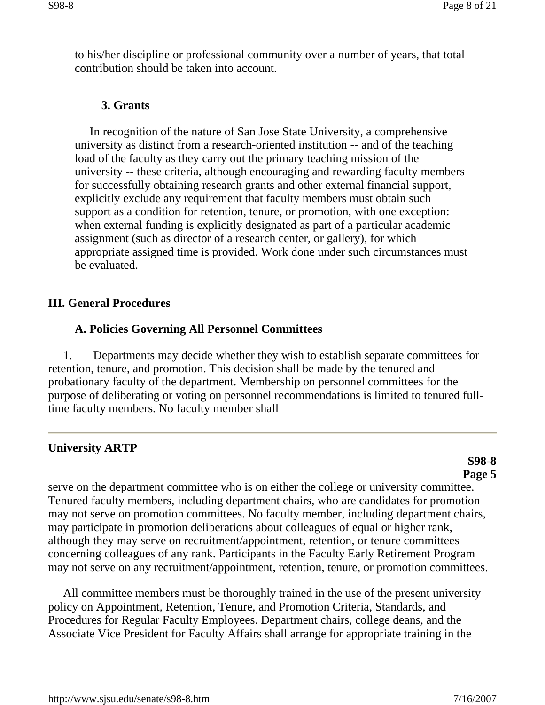to his/her discipline or professional community over a number of years, that total contribution should be taken into account.

#### **3. Grants**

In recognition of the nature of San Jose State University, a comprehensive university as distinct from a research-oriented institution -- and of the teaching load of the faculty as they carry out the primary teaching mission of the university -- these criteria, although encouraging and rewarding faculty members for successfully obtaining research grants and other external financial support, explicitly exclude any requirement that faculty members must obtain such support as a condition for retention, tenure, or promotion, with one exception: when external funding is explicitly designated as part of a particular academic assignment (such as director of a research center, or gallery), for which appropriate assigned time is provided. Work done under such circumstances must be evaluated.

#### **III. General Procedures**

#### **A. Policies Governing All Personnel Committees**

1. Departments may decide whether they wish to establish separate committees for retention, tenure, and promotion. This decision shall be made by the tenured and probationary faculty of the department. Membership on personnel committees for the purpose of deliberating or voting on personnel recommendations is limited to tenured fulltime faculty members. No faculty member shall

#### **University ARTP**

#### **S98-8 Page 5**

serve on the department committee who is on either the college or university committee. Tenured faculty members, including department chairs, who are candidates for promotion may not serve on promotion committees. No faculty member, including department chairs, may participate in promotion deliberations about colleagues of equal or higher rank, although they may serve on recruitment/appointment, retention, or tenure committees concerning colleagues of any rank. Participants in the Faculty Early Retirement Program may not serve on any recruitment/appointment, retention, tenure, or promotion committees.

All committee members must be thoroughly trained in the use of the present university policy on Appointment, Retention, Tenure, and Promotion Criteria, Standards, and Procedures for Regular Faculty Employees. Department chairs, college deans, and the Associate Vice President for Faculty Affairs shall arrange for appropriate training in the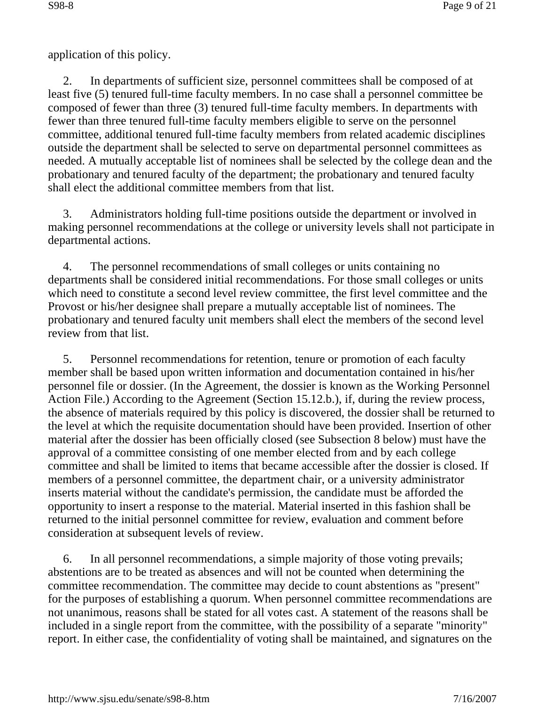application of this policy.

2. In departments of sufficient size, personnel committees shall be composed of at least five (5) tenured full-time faculty members. In no case shall a personnel committee be composed of fewer than three (3) tenured full-time faculty members. In departments with fewer than three tenured full-time faculty members eligible to serve on the personnel committee, additional tenured full-time faculty members from related academic disciplines outside the department shall be selected to serve on departmental personnel committees as needed. A mutually acceptable list of nominees shall be selected by the college dean and the probationary and tenured faculty of the department; the probationary and tenured faculty shall elect the additional committee members from that list.

3. Administrators holding full-time positions outside the department or involved in making personnel recommendations at the college or university levels shall not participate in departmental actions.

4. The personnel recommendations of small colleges or units containing no departments shall be considered initial recommendations. For those small colleges or units which need to constitute a second level review committee, the first level committee and the Provost or his/her designee shall prepare a mutually acceptable list of nominees. The probationary and tenured faculty unit members shall elect the members of the second level review from that list.

5. Personnel recommendations for retention, tenure or promotion of each faculty member shall be based upon written information and documentation contained in his/her personnel file or dossier. (In the Agreement, the dossier is known as the Working Personnel Action File.) According to the Agreement (Section 15.12.b.), if, during the review process, the absence of materials required by this policy is discovered, the dossier shall be returned to the level at which the requisite documentation should have been provided. Insertion of other material after the dossier has been officially closed (see Subsection 8 below) must have the approval of a committee consisting of one member elected from and by each college committee and shall be limited to items that became accessible after the dossier is closed. If members of a personnel committee, the department chair, or a university administrator inserts material without the candidate's permission, the candidate must be afforded the opportunity to insert a response to the material. Material inserted in this fashion shall be returned to the initial personnel committee for review, evaluation and comment before consideration at subsequent levels of review.

6. In all personnel recommendations, a simple majority of those voting prevails; abstentions are to be treated as absences and will not be counted when determining the committee recommendation. The committee may decide to count abstentions as "present" for the purposes of establishing a quorum. When personnel committee recommendations are not unanimous, reasons shall be stated for all votes cast. A statement of the reasons shall be included in a single report from the committee, with the possibility of a separate "minority" report. In either case, the confidentiality of voting shall be maintained, and signatures on the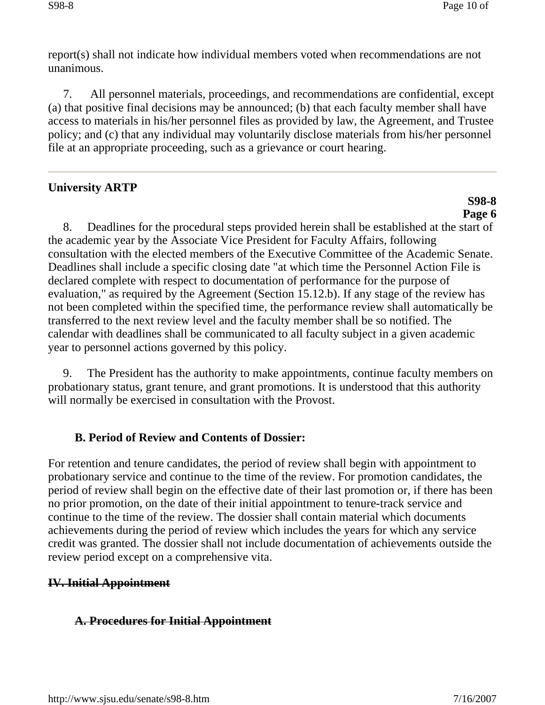report(s) shall not indicate how individual members voted when recommendations are not unanimous.

7. All personnel materials, proceedings, and recommendations are confidential, except (a) that positive final decisions may be announced; (b) that each faculty member shall have access to materials in his/her personnel files as provided by law, the Agreement, and Trustee policy; and (c) that any individual may voluntarily disclose materials from his/her personnel file at an appropriate proceeding, such as a grievance or court hearing.

# **University ARTP**

# **S98-8 Page 6**

8. Deadlines for the procedural steps provided herein shall be established at the start of the academic year by the Associate Vice President for Faculty Affairs, following consultation with the elected members of the Executive Committee of the Academic Senate. Deadlines shall include a specific closing date "at which time the Personnel Action File is declared complete with respect to documentation of performance for the purpose of evaluation," as required by the Agreement (Section 15.12.b). If any stage of the review has not been completed within the specified time, the performance review shall automatically be transferred to the next review level and the faculty member shall be so notified. The calendar with deadlines shall be communicated to all faculty subject in a given academic year to personnel actions governed by this policy.

9. The President has the authority to make appointments, continue faculty members on probationary status, grant tenure, and grant promotions. It is understood that this authority will normally be exercised in consultation with the Provost.

# **B. Period of Review and Contents of Dossier:**

For retention and tenure candidates, the period of review shall begin with appointment to probationary service and continue to the time of the review. For promotion candidates, the period of review shall begin on the effective date of their last promotion or, if there has been no prior promotion, on the date of their initial appointment to tenure-track service and continue to the time of the review. The dossier shall contain material which documents achievements during the period of review which includes the years for which any service credit was granted. The dossier shall not include documentation of achievements outside the review period except on a comprehensive vita.

# **IV. Initial Appointment**

# **A. Procedures for Initial Appointment**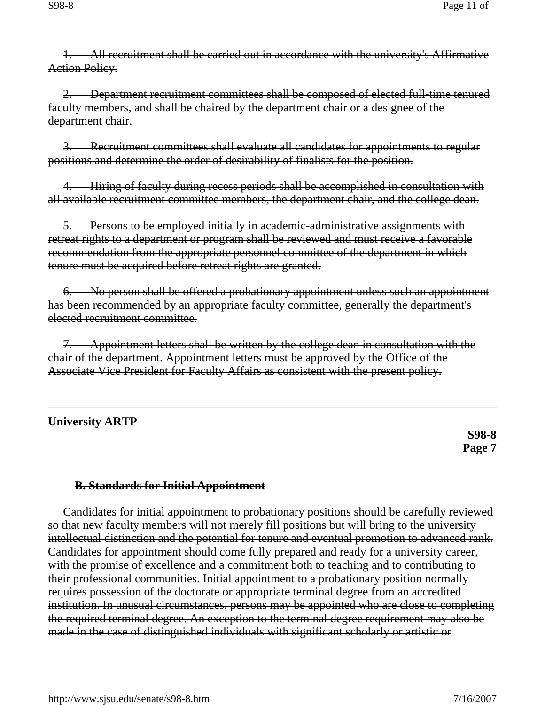1. All recruitment shall be carried out in accordance with the university's Affirmative Action Policy.

2. Department recruitment committees shall be composed of elected full-time tenured faculty members, and shall be chaired by the department chair or a designee of the department chair.

3. Recruitment committees shall evaluate all candidates for appointments to regular positions and determine the order of desirability of finalists for the position.

4. Hiring of faculty during recess periods shall be accomplished in consultation with all available recruitment committee members, the department chair, and the college dean.

5. Persons to be employed initially in academic-administrative assignments with retreat rights to a department or program shall be reviewed and must receive a favorable recommendation from the appropriate personnel committee of the department in which tenure must be acquired before retreat rights are granted.

6. No person shall be offered a probationary appointment unless such an appointment has been recommended by an appropriate faculty committee, generally the department's elected recruitment committee.

7. Appointment letters shall be written by the college dean in consultation with the chair of the department. Appointment letters must be approved by the Office of the Associate Vice President for Faculty Affairs as consistent with the present policy.

# **University ARTP**

**S98-8 Page 7** 

#### **B. Standards for Initial Appointment**

Candidates for initial appointment to probationary positions should be carefully reviewed so that new faculty members will not merely fill positions but will bring to the university intellectual distinction and the potential for tenure and eventual promotion to advanced rank. Candidates for appointment should come fully prepared and ready for a university career, with the promise of excellence and a commitment both to teaching and to contributing to their professional communities. Initial appointment to a probationary position normally requires possession of the doctorate or appropriate terminal degree from an accredited institution. In unusual circumstances, persons may be appointed who are close to completing the required terminal degree. An exception to the terminal degree requirement may also be made in the case of distinguished individuals with significant scholarly or artistic or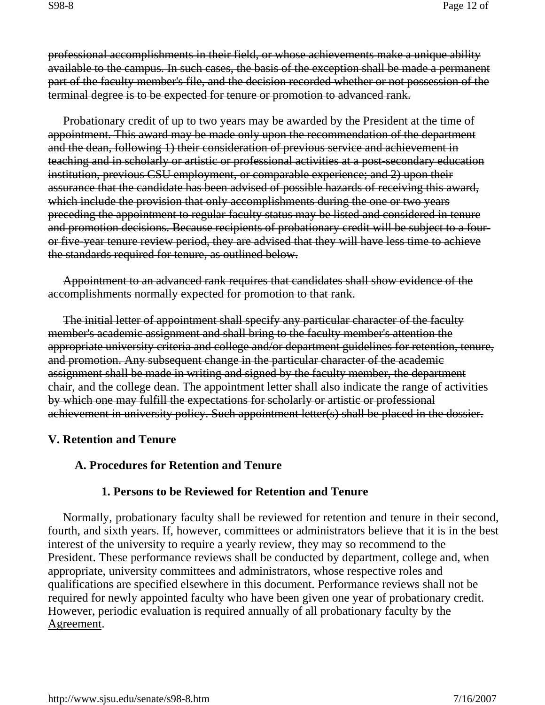professional accomplishments in their field, or whose achievements make a unique ability available to the campus. In such cases, the basis of the exception shall be made a permanent part of the faculty member's file, and the decision recorded whether or not possession of the terminal degree is to be expected for tenure or promotion to advanced rank.

Probationary credit of up to two years may be awarded by the President at the time of appointment. This award may be made only upon the recommendation of the department and the dean, following 1) their consideration of previous service and achievement in teaching and in scholarly or artistic or professional activities at a post-secondary education institution, previous CSU employment, or comparable experience; and 2) upon their assurance that the candidate has been advised of possible hazards of receiving this award, which include the provision that only accomplishments during the one or two years preceding the appointment to regular faculty status may be listed and considered in tenure and promotion decisions. Because recipients of probationary credit will be subject to a fouror five-year tenure review period, they are advised that they will have less time to achieve the standards required for tenure, as outlined below.

Appointment to an advanced rank requires that candidates shall show evidence of the accomplishments normally expected for promotion to that rank.

The initial letter of appointment shall specify any particular character of the faculty member's academic assignment and shall bring to the faculty member's attention the appropriate university criteria and college and/or department guidelines for retention, tenure, and promotion. Any subsequent change in the particular character of the academic assignment shall be made in writing and signed by the faculty member, the department chair, and the college dean. The appointment letter shall also indicate the range of activities by which one may fulfill the expectations for scholarly or artistic or professional achievement in university policy. Such appointment letter(s) shall be placed in the dossier.

# **V. Retention and Tenure**

# **A. Procedures for Retention and Tenure**

# **1. Persons to be Reviewed for Retention and Tenure**

Normally, probationary faculty shall be reviewed for retention and tenure in their second, fourth, and sixth years. If, however, committees or administrators believe that it is in the best interest of the university to require a yearly review, they may so recommend to the President. These performance reviews shall be conducted by department, college and, when appropriate, university committees and administrators, whose respective roles and qualifications are specified elsewhere in this document. Performance reviews shall not be required for newly appointed faculty who have been given one year of probationary credit. However, periodic evaluation is required annually of all probationary faculty by the Agreement.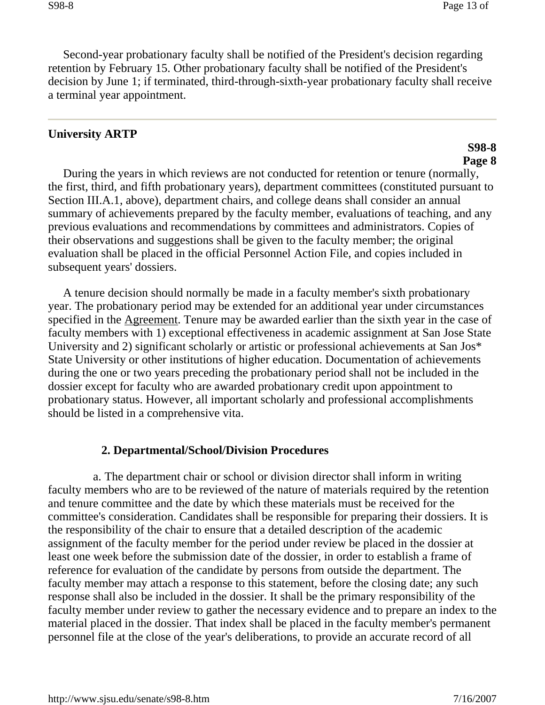Second-year probationary faculty shall be notified of the President's decision regarding retention by February 15. Other probationary faculty shall be notified of the President's decision by June 1; if terminated, third-through-sixth-year probationary faculty shall receive a terminal year appointment.

#### **University ARTP**

#### **S98-8 Page 8**

During the years in which reviews are not conducted for retention or tenure (normally, the first, third, and fifth probationary years), department committees (constituted pursuant to Section III.A.1, above), department chairs, and college deans shall consider an annual summary of achievements prepared by the faculty member, evaluations of teaching, and any previous evaluations and recommendations by committees and administrators. Copies of their observations and suggestions shall be given to the faculty member; the original evaluation shall be placed in the official Personnel Action File, and copies included in subsequent years' dossiers.

A tenure decision should normally be made in a faculty member's sixth probationary year. The probationary period may be extended for an additional year under circumstances specified in the Agreement. Tenure may be awarded earlier than the sixth year in the case of faculty members with 1) exceptional effectiveness in academic assignment at San Jose State University and 2) significant scholarly or artistic or professional achievements at San Jos\* State University or other institutions of higher education. Documentation of achievements during the one or two years preceding the probationary period shall not be included in the dossier except for faculty who are awarded probationary credit upon appointment to probationary status. However, all important scholarly and professional accomplishments should be listed in a comprehensive vita.

#### **2. Departmental/School/Division Procedures**

a. The department chair or school or division director shall inform in writing faculty members who are to be reviewed of the nature of materials required by the retention and tenure committee and the date by which these materials must be received for the committee's consideration. Candidates shall be responsible for preparing their dossiers. It is the responsibility of the chair to ensure that a detailed description of the academic assignment of the faculty member for the period under review be placed in the dossier at least one week before the submission date of the dossier, in order to establish a frame of reference for evaluation of the candidate by persons from outside the department. The faculty member may attach a response to this statement, before the closing date; any such response shall also be included in the dossier. It shall be the primary responsibility of the faculty member under review to gather the necessary evidence and to prepare an index to the material placed in the dossier. That index shall be placed in the faculty member's permanent personnel file at the close of the year's deliberations, to provide an accurate record of all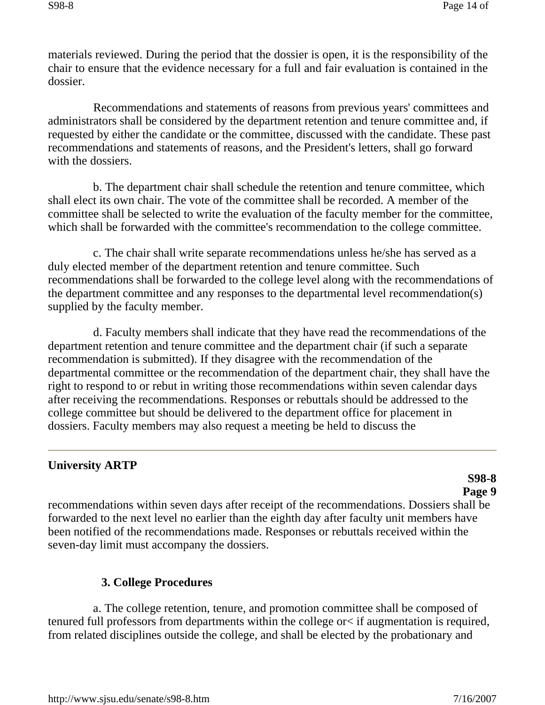materials reviewed. During the period that the dossier is open, it is the responsibility of the chair to ensure that the evidence necessary for a full and fair evaluation is contained in the dossier.

Recommendations and statements of reasons from previous years' committees and administrators shall be considered by the department retention and tenure committee and, if requested by either the candidate or the committee, discussed with the candidate. These past recommendations and statements of reasons, and the President's letters, shall go forward with the dossiers.

b. The department chair shall schedule the retention and tenure committee, which shall elect its own chair. The vote of the committee shall be recorded. A member of the committee shall be selected to write the evaluation of the faculty member for the committee, which shall be forwarded with the committee's recommendation to the college committee.

c. The chair shall write separate recommendations unless he/she has served as a duly elected member of the department retention and tenure committee. Such recommendations shall be forwarded to the college level along with the recommendations of the department committee and any responses to the departmental level recommendation(s) supplied by the faculty member.

d. Faculty members shall indicate that they have read the recommendations of the department retention and tenure committee and the department chair (if such a separate recommendation is submitted). If they disagree with the recommendation of the departmental committee or the recommendation of the department chair, they shall have the right to respond to or rebut in writing those recommendations within seven calendar days after receiving the recommendations. Responses or rebuttals should be addressed to the college committee but should be delivered to the department office for placement in dossiers. Faculty members may also request a meeting be held to discuss the

# **University ARTP**

#### **S98-8 Page 9**

recommendations within seven days after receipt of the recommendations. Dossiers shall be forwarded to the next level no earlier than the eighth day after faculty unit members have been notified of the recommendations made. Responses or rebuttals received within the seven-day limit must accompany the dossiers.

# **3. College Procedures**

a. The college retention, tenure, and promotion committee shall be composed of tenured full professors from departments within the college or< if augmentation is required, from related disciplines outside the college, and shall be elected by the probationary and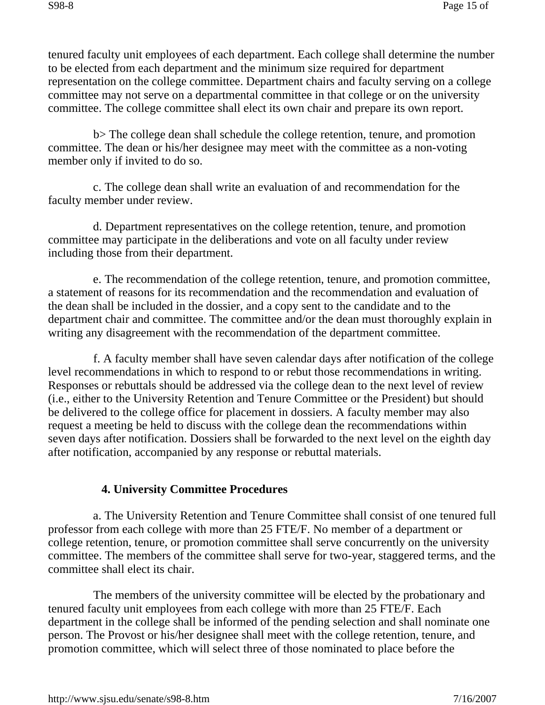tenured faculty unit employees of each department. Each college shall determine the number to be elected from each department and the minimum size required for department representation on the college committee. Department chairs and faculty serving on a college committee may not serve on a departmental committee in that college or on the university committee. The college committee shall elect its own chair and prepare its own report.

b> The college dean shall schedule the college retention, tenure, and promotion committee. The dean or his/her designee may meet with the committee as a non-voting member only if invited to do so.

c. The college dean shall write an evaluation of and recommendation for the faculty member under review.

d. Department representatives on the college retention, tenure, and promotion committee may participate in the deliberations and vote on all faculty under review including those from their department.

e. The recommendation of the college retention, tenure, and promotion committee, a statement of reasons for its recommendation and the recommendation and evaluation of the dean shall be included in the dossier, and a copy sent to the candidate and to the department chair and committee. The committee and/or the dean must thoroughly explain in writing any disagreement with the recommendation of the department committee.

f. A faculty member shall have seven calendar days after notification of the college level recommendations in which to respond to or rebut those recommendations in writing. Responses or rebuttals should be addressed via the college dean to the next level of review (i.e., either to the University Retention and Tenure Committee or the President) but should be delivered to the college office for placement in dossiers. A faculty member may also request a meeting be held to discuss with the college dean the recommendations within seven days after notification. Dossiers shall be forwarded to the next level on the eighth day after notification, accompanied by any response or rebuttal materials.

# **4. University Committee Procedures**

a. The University Retention and Tenure Committee shall consist of one tenured full professor from each college with more than 25 FTE/F. No member of a department or college retention, tenure, or promotion committee shall serve concurrently on the university committee. The members of the committee shall serve for two-year, staggered terms, and the committee shall elect its chair.

The members of the university committee will be elected by the probationary and tenured faculty unit employees from each college with more than 25 FTE/F. Each department in the college shall be informed of the pending selection and shall nominate one person. The Provost or his/her designee shall meet with the college retention, tenure, and promotion committee, which will select three of those nominated to place before the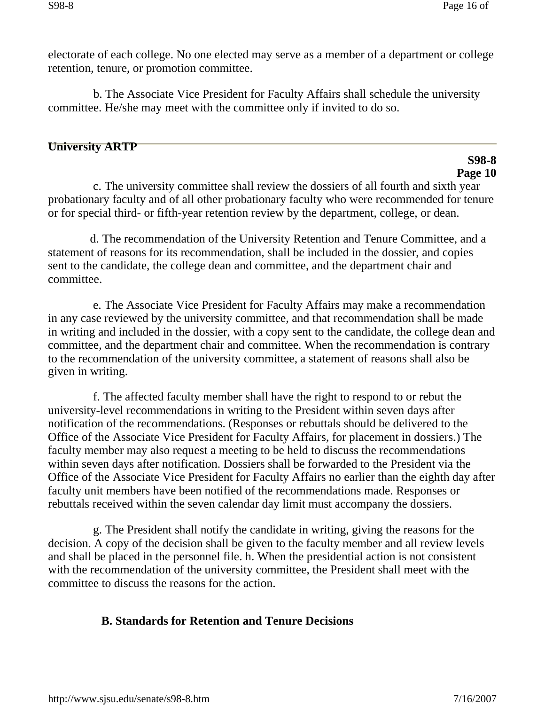electorate of each college. No one elected may serve as a member of a department or college retention, tenure, or promotion committee.

b. The Associate Vice President for Faculty Affairs shall schedule the university committee. He/she may meet with the committee only if invited to do so.

### **University ARTP**

# **S98-8 Page 10**

c. The university committee shall review the dossiers of all fourth and sixth year probationary faculty and of all other probationary faculty who were recommended for tenure or for special third- or fifth-year retention review by the department, college, or dean.

d. The recommendation of the University Retention and Tenure Committee, and a statement of reasons for its recommendation, shall be included in the dossier, and copies sent to the candidate, the college dean and committee, and the department chair and committee.

e. The Associate Vice President for Faculty Affairs may make a recommendation in any case reviewed by the university committee, and that recommendation shall be made in writing and included in the dossier, with a copy sent to the candidate, the college dean and committee, and the department chair and committee. When the recommendation is contrary to the recommendation of the university committee, a statement of reasons shall also be given in writing.

f. The affected faculty member shall have the right to respond to or rebut the university-level recommendations in writing to the President within seven days after notification of the recommendations. (Responses or rebuttals should be delivered to the Office of the Associate Vice President for Faculty Affairs, for placement in dossiers.) The faculty member may also request a meeting to be held to discuss the recommendations within seven days after notification. Dossiers shall be forwarded to the President via the Office of the Associate Vice President for Faculty Affairs no earlier than the eighth day after faculty unit members have been notified of the recommendations made. Responses or rebuttals received within the seven calendar day limit must accompany the dossiers.

g. The President shall notify the candidate in writing, giving the reasons for the decision. A copy of the decision shall be given to the faculty member and all review levels and shall be placed in the personnel file. h. When the presidential action is not consistent with the recommendation of the university committee, the President shall meet with the committee to discuss the reasons for the action.

# **B. Standards for Retention and Tenure Decisions**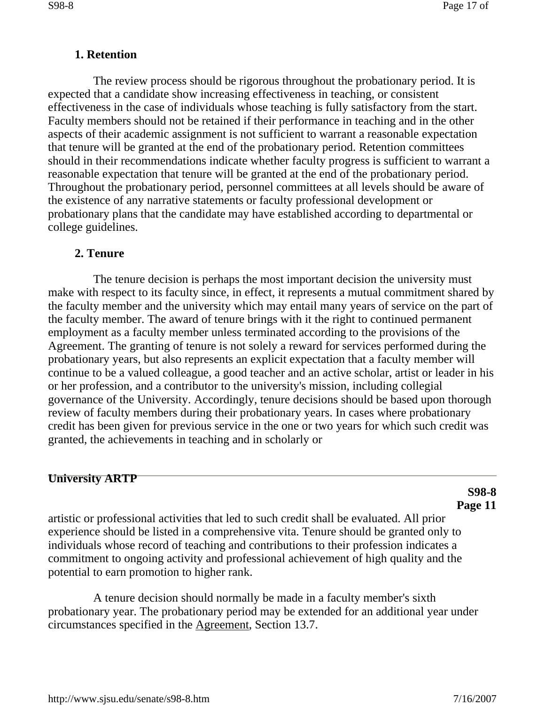#### **1. Retention**

The review process should be rigorous throughout the probationary period. It is expected that a candidate show increasing effectiveness in teaching, or consistent effectiveness in the case of individuals whose teaching is fully satisfactory from the start. Faculty members should not be retained if their performance in teaching and in the other aspects of their academic assignment is not sufficient to warrant a reasonable expectation that tenure will be granted at the end of the probationary period. Retention committees should in their recommendations indicate whether faculty progress is sufficient to warrant a reasonable expectation that tenure will be granted at the end of the probationary period. Throughout the probationary period, personnel committees at all levels should be aware of the existence of any narrative statements or faculty professional development or probationary plans that the candidate may have established according to departmental or college guidelines.

#### **2. Tenure**

The tenure decision is perhaps the most important decision the university must make with respect to its faculty since, in effect, it represents a mutual commitment shared by the faculty member and the university which may entail many years of service on the part of the faculty member. The award of tenure brings with it the right to continued permanent employment as a faculty member unless terminated according to the provisions of the Agreement. The granting of tenure is not solely a reward for services performed during the probationary years, but also represents an explicit expectation that a faculty member will continue to be a valued colleague, a good teacher and an active scholar, artist or leader in his or her profession, and a contributor to the university's mission, including collegial governance of the University. Accordingly, tenure decisions should be based upon thorough review of faculty members during their probationary years. In cases where probationary credit has been given for previous service in the one or two years for which such credit was granted, the achievements in teaching and in scholarly or

#### **University ARTP**

**S98-8 Page 11** 

artistic or professional activities that led to such credit shall be evaluated. All prior experience should be listed in a comprehensive vita. Tenure should be granted only to individuals whose record of teaching and contributions to their profession indicates a commitment to ongoing activity and professional achievement of high quality and the potential to earn promotion to higher rank.

A tenure decision should normally be made in a faculty member's sixth probationary year. The probationary period may be extended for an additional year under circumstances specified in the Agreement, Section 13.7.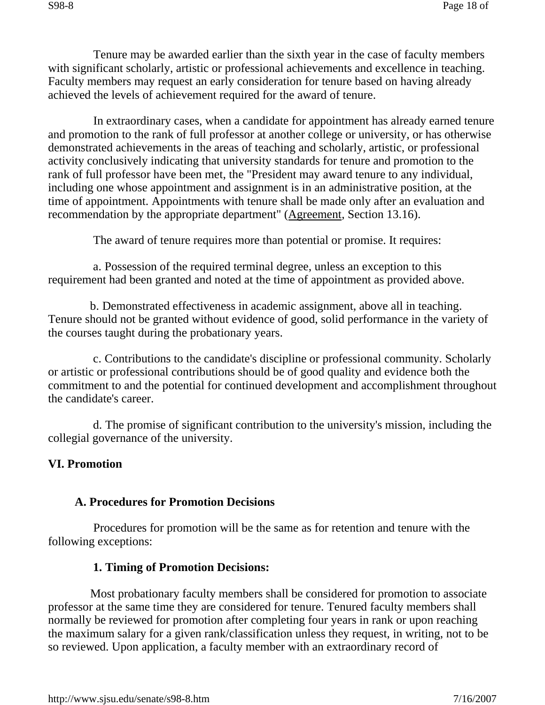Tenure may be awarded earlier than the sixth year in the case of faculty members with significant scholarly, artistic or professional achievements and excellence in teaching. Faculty members may request an early consideration for tenure based on having already achieved the levels of achievement required for the award of tenure.

In extraordinary cases, when a candidate for appointment has already earned tenure and promotion to the rank of full professor at another college or university, or has otherwise demonstrated achievements in the areas of teaching and scholarly, artistic, or professional activity conclusively indicating that university standards for tenure and promotion to the rank of full professor have been met, the "President may award tenure to any individual, including one whose appointment and assignment is in an administrative position, at the time of appointment. Appointments with tenure shall be made only after an evaluation and recommendation by the appropriate department" (Agreement, Section 13.16).

The award of tenure requires more than potential or promise. It requires:

a. Possession of the required terminal degree, unless an exception to this requirement had been granted and noted at the time of appointment as provided above.

b. Demonstrated effectiveness in academic assignment, above all in teaching. Tenure should not be granted without evidence of good, solid performance in the variety of the courses taught during the probationary years.

c. Contributions to the candidate's discipline or professional community. Scholarly or artistic or professional contributions should be of good quality and evidence both the commitment to and the potential for continued development and accomplishment throughout the candidate's career.

d. The promise of significant contribution to the university's mission, including the collegial governance of the university.

# **VI. Promotion**

#### **A. Procedures for Promotion Decisions**

Procedures for promotion will be the same as for retention and tenure with the following exceptions:

# **1. Timing of Promotion Decisions:**

Most probationary faculty members shall be considered for promotion to associate professor at the same time they are considered for tenure. Tenured faculty members shall normally be reviewed for promotion after completing four years in rank or upon reaching the maximum salary for a given rank/classification unless they request, in writing, not to be so reviewed. Upon application, a faculty member with an extraordinary record of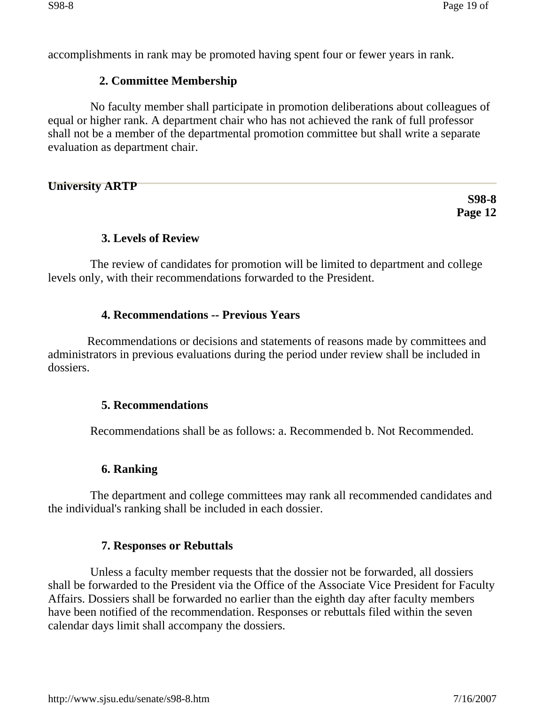accomplishments in rank may be promoted having spent four or fewer years in rank.

# **2. Committee Membership**

No faculty member shall participate in promotion deliberations about colleagues of equal or higher rank. A department chair who has not achieved the rank of full professor shall not be a member of the departmental promotion committee but shall write a separate evaluation as department chair.

**University ARTP** 

**S98-8 Page 12** 

# **3. Levels of Review**

The review of candidates for promotion will be limited to department and college levels only, with their recommendations forwarded to the President.

# **4. Recommendations -- Previous Years**

Recommendations or decisions and statements of reasons made by committees and administrators in previous evaluations during the period under review shall be included in dossiers.

# **5. Recommendations**

Recommendations shall be as follows: a. Recommended b. Not Recommended.

# **6. Ranking**

The department and college committees may rank all recommended candidates and the individual's ranking shall be included in each dossier.

# **7. Responses or Rebuttals**

Unless a faculty member requests that the dossier not be forwarded, all dossiers shall be forwarded to the President via the Office of the Associate Vice President for Faculty Affairs. Dossiers shall be forwarded no earlier than the eighth day after faculty members have been notified of the recommendation. Responses or rebuttals filed within the seven calendar days limit shall accompany the dossiers.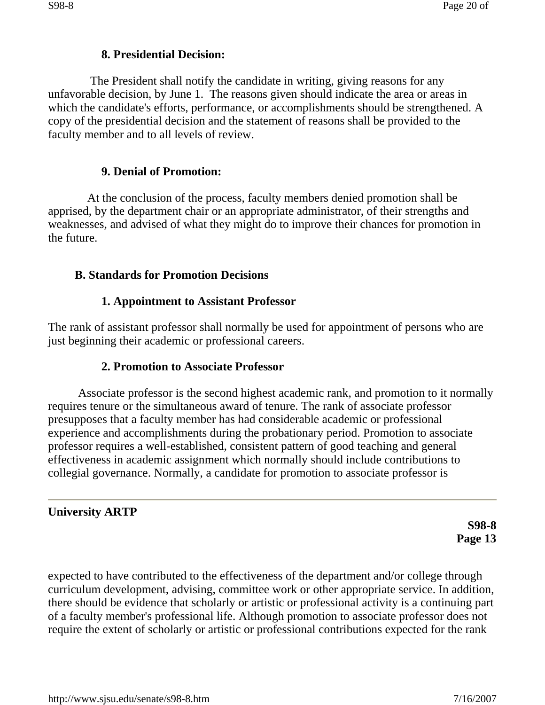### **8. Presidential Decision:**

The President shall notify the candidate in writing, giving reasons for any unfavorable decision, by June 1. The reasons given should indicate the area or areas in which the candidate's efforts, performance, or accomplishments should be strengthened. A copy of the presidential decision and the statement of reasons shall be provided to the faculty member and to all levels of review.

### **9. Denial of Promotion:**

At the conclusion of the process, faculty members denied promotion shall be apprised, by the department chair or an appropriate administrator, of their strengths and weaknesses, and advised of what they might do to improve their chances for promotion in the future.

### **B. Standards for Promotion Decisions**

### **1. Appointment to Assistant Professor**

The rank of assistant professor shall normally be used for appointment of persons who are just beginning their academic or professional careers.

# **2. Promotion to Associate Professor**

Associate professor is the second highest academic rank, and promotion to it normally requires tenure or the simultaneous award of tenure. The rank of associate professor presupposes that a faculty member has had considerable academic or professional experience and accomplishments during the probationary period. Promotion to associate professor requires a well-established, consistent pattern of good teaching and general effectiveness in academic assignment which normally should include contributions to collegial governance. Normally, a candidate for promotion to associate professor is

# **University ARTP**

**S98-8 Page 13** 

expected to have contributed to the effectiveness of the department and/or college through curriculum development, advising, committee work or other appropriate service. In addition, there should be evidence that scholarly or artistic or professional activity is a continuing part of a faculty member's professional life. Although promotion to associate professor does not require the extent of scholarly or artistic or professional contributions expected for the rank